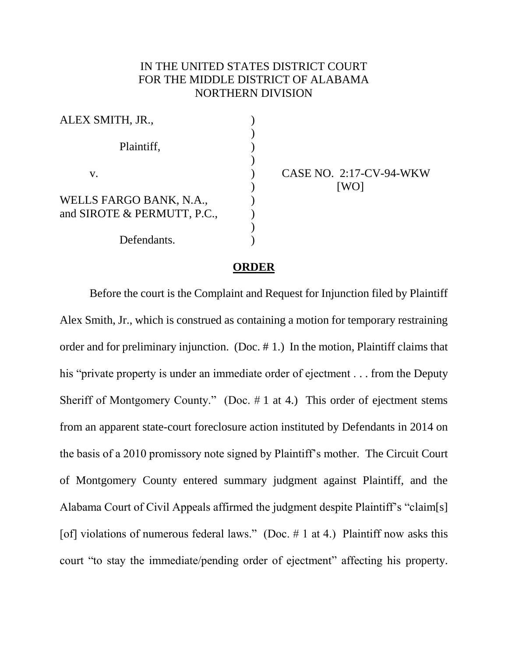## IN THE UNITED STATES DISTRICT COURT FOR THE MIDDLE DISTRICT OF ALABAMA NORTHERN DIVISION

| ALEX SMITH, JR.,            |  |
|-----------------------------|--|
|                             |  |
| Plaintiff,                  |  |
|                             |  |
| V.                          |  |
|                             |  |
| WELLS FARGO BANK, N.A.,     |  |
| and SIROTE & PERMUTT, P.C., |  |
|                             |  |
| Defendants.                 |  |

CASE NO. 2:17-CV-94-WKW [WO]

## **ORDER**

Before the court is the Complaint and Request for Injunction filed by Plaintiff Alex Smith, Jr., which is construed as containing a motion for temporary restraining order and for preliminary injunction. (Doc. # 1.) In the motion, Plaintiff claims that his "private property is under an immediate order of ejectment . . . from the Deputy Sheriff of Montgomery County." (Doc. # 1 at 4.) This order of ejectment stems from an apparent state-court foreclosure action instituted by Defendants in 2014 on the basis of a 2010 promissory note signed by Plaintiff's mother. The Circuit Court of Montgomery County entered summary judgment against Plaintiff, and the Alabama Court of Civil Appeals affirmed the judgment despite Plaintiff's "claim[s] [of] violations of numerous federal laws." (Doc.  $\#$  1 at 4.) Plaintiff now asks this court "to stay the immediate/pending order of ejectment" affecting his property.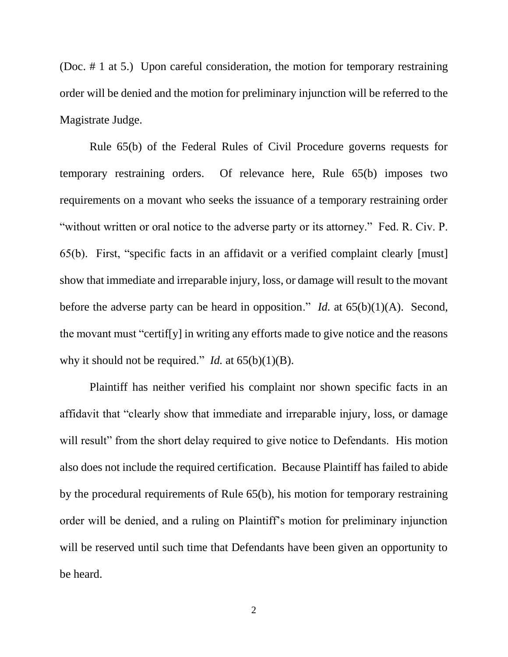(Doc. # 1 at 5.) Upon careful consideration, the motion for temporary restraining order will be denied and the motion for preliminary injunction will be referred to the Magistrate Judge.

Rule 65(b) of the Federal Rules of Civil Procedure governs requests for temporary restraining orders. Of relevance here, Rule 65(b) imposes two requirements on a movant who seeks the issuance of a temporary restraining order "without written or oral notice to the adverse party or its attorney." Fed. R. Civ. P. 65(b). First, "specific facts in an affidavit or a verified complaint clearly [must] show that immediate and irreparable injury, loss, or damage will result to the movant before the adverse party can be heard in opposition." *Id.* at 65(b)(1)(A). Second, the movant must "certif[y] in writing any efforts made to give notice and the reasons why it should not be required." *Id.* at  $65(b)(1)(B)$ .

Plaintiff has neither verified his complaint nor shown specific facts in an affidavit that "clearly show that immediate and irreparable injury, loss, or damage will result" from the short delay required to give notice to Defendants. His motion also does not include the required certification. Because Plaintiff has failed to abide by the procedural requirements of Rule 65(b), his motion for temporary restraining order will be denied, and a ruling on Plaintiff's motion for preliminary injunction will be reserved until such time that Defendants have been given an opportunity to be heard.